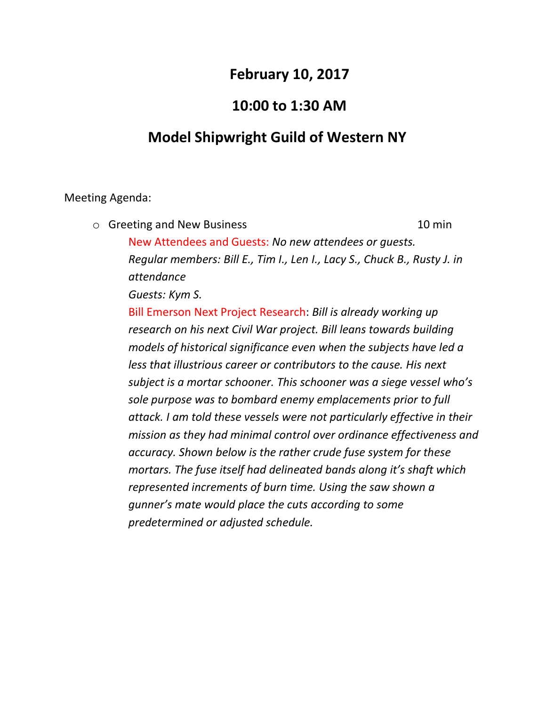## **February 10, 2017**

## **10:00 to 1:30 AM**

## **Model Shipwright Guild of Western NY**

## Meeting Agenda:

o Greeting and New Business 10 min New Attendees and Guests: *No new attendees or guests. Regular members: Bill E., Tim I., Len I., Lacy S., Chuck B., Rusty J. in attendance*

*Guests: Kym S.*

Bill Emerson Next Project Research: *Bill is already working up research on his next Civil War project. Bill leans towards building models of historical significance even when the subjects have led a less that illustrious career or contributors to the cause. His next subject is a mortar schooner. This schooner was a siege vessel who's sole purpose was to bombard enemy emplacements prior to full attack. I am told these vessels were not particularly effective in their mission as they had minimal control over ordinance effectiveness and accuracy. Shown below is the rather crude fuse system for these mortars. The fuse itself had delineated bands along it's shaft which represented increments of burn time. Using the saw shown a gunner's mate would place the cuts according to some predetermined or adjusted schedule.*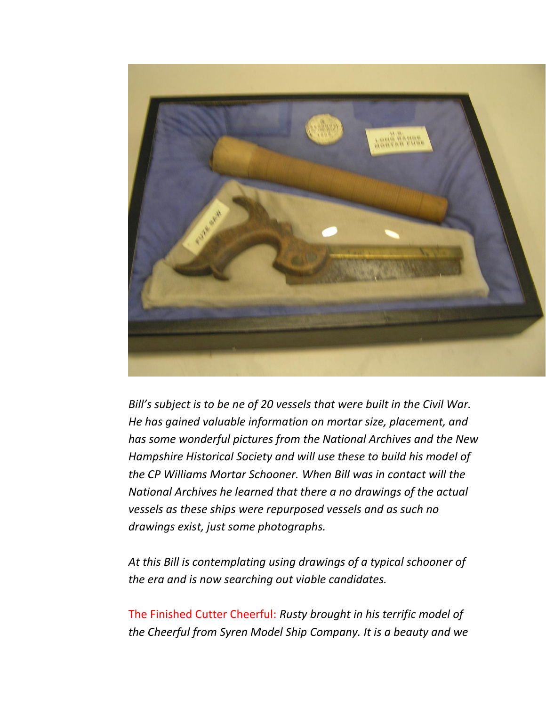

*Bill's subject is to be ne of 20 vessels that were built in the Civil War. He has gained valuable information on mortar size, placement, and has some wonderful pictures from the National Archives and the New Hampshire Historical Society and will use these to build his model of the CP Williams Mortar Schooner. When Bill was in contact will the National Archives he learned that there a no drawings of the actual vessels as these ships were repurposed vessels and as such no drawings exist, just some photographs.*

*At this Bill is contemplating using drawings of a typical schooner of the era and is now searching out viable candidates.*

The Finished Cutter Cheerful: *Rusty brought in his terrific model of the Cheerful from Syren Model Ship Company. It is a beauty and we*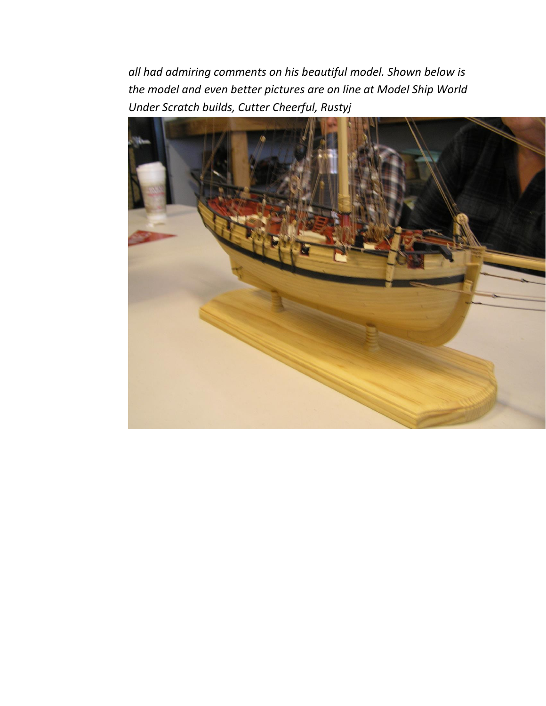*all had admiring comments on his beautiful model. Shown below is the model and even better pictures are on line at Model Ship World Under Scratch builds, Cutter Cheerful, Rustyj*

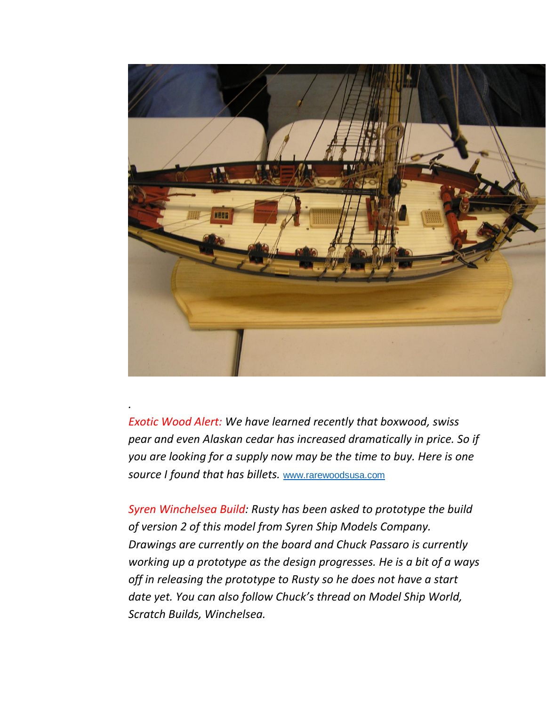

*Exotic Wood Alert: We have learned recently that boxwood, swiss pear and even Alaskan cedar has increased dramatically in price. So if you are looking for a supply now may be the time to buy. Here is one source I found that has billets.* [www.rarewoodsusa.com](http://www.rarewoodsusa.com/)

*.*

*Syren Winchelsea Build: Rusty has been asked to prototype the build of version 2 of this model from Syren Ship Models Company. Drawings are currently on the board and Chuck Passaro is currently working up a prototype as the design progresses. He is a bit of a ways off in releasing the prototype to Rusty so he does not have a start date yet. You can also follow Chuck's thread on Model Ship World, Scratch Builds, Winchelsea.*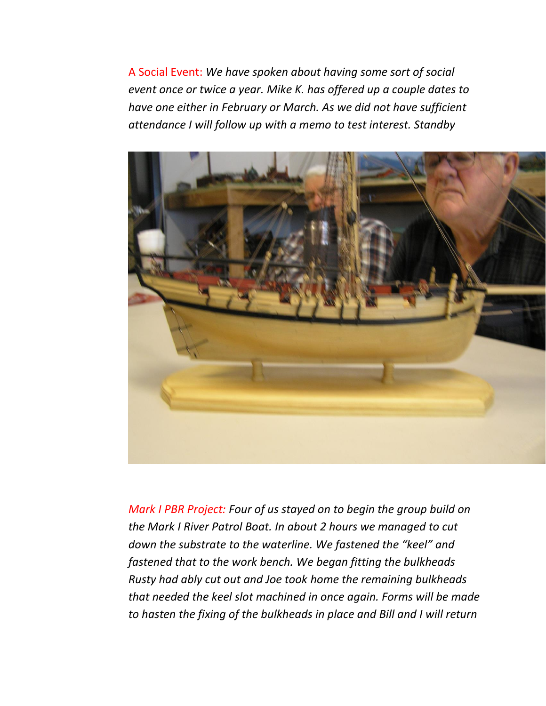A Social Event: *We have spoken about having some sort of social event once or twice a year. Mike K. has offered up a couple dates to have one either in February or March. As we did not have sufficient attendance I will follow up with a memo to test interest. Standby*



*Mark I PBR Project: Four of us stayed on to begin the group build on the Mark I River Patrol Boat. In about 2 hours we managed to cut down the substrate to the waterline. We fastened the "keel" and fastened that to the work bench. We began fitting the bulkheads Rusty had ably cut out and Joe took home the remaining bulkheads that needed the keel slot machined in once again. Forms will be made to hasten the fixing of the bulkheads in place and Bill and I will return*